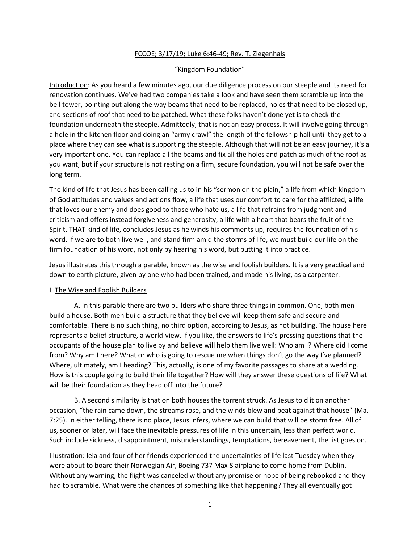## FCCOE; 3/17/19; Luke 6:46-49; Rev. T. Ziegenhals

## "Kingdom Foundation"

Introduction: As you heard a few minutes ago, our due diligence process on our steeple and its need for renovation continues. We've had two companies take a look and have seen them scramble up into the bell tower, pointing out along the way beams that need to be replaced, holes that need to be closed up, and sections of roof that need to be patched. What these folks haven't done yet is to check the foundation underneath the steeple. Admittedly, that is not an easy process. It will involve going through a hole in the kitchen floor and doing an "army crawl" the length of the fellowship hall until they get to a place where they can see what is supporting the steeple. Although that will not be an easy journey, it's a very important one. You can replace all the beams and fix all the holes and patch as much of the roof as you want, but if your structure is not resting on a firm, secure foundation, you will not be safe over the long term.

The kind of life that Jesus has been calling us to in his "sermon on the plain," a life from which kingdom of God attitudes and values and actions flow, a life that uses our comfort to care for the afflicted, a life that loves our enemy and does good to those who hate us, a life that refrains from judgment and criticism and offers instead forgiveness and generosity, a life with a heart that bears the fruit of the Spirit, THAT kind of life, concludes Jesus as he winds his comments up, requires the foundation of his word. If we are to both live well, and stand firm amid the storms of life, we must build our life on the firm foundation of his word, not only by hearing his word, but putting it into practice.

Jesus illustrates this through a parable, known as the wise and foolish builders. It is a very practical and down to earth picture, given by one who had been trained, and made his living, as a carpenter.

## I. The Wise and Foolish Builders

A. In this parable there are two builders who share three things in common. One, both men build a house. Both men build a structure that they believe will keep them safe and secure and comfortable. There is no such thing, no third option, according to Jesus, as not building. The house here represents a belief structure, a world-view, if you like, the answers to life's pressing questions that the occupants of the house plan to live by and believe will help them live well: Who am I? Where did I come from? Why am I here? What or who is going to rescue me when things don't go the way I've planned? Where, ultimately, am I heading? This, actually, is one of my favorite passages to share at a wedding. How is this couple going to build their life together? How will they answer these questions of life? What will be their foundation as they head off into the future?

B. A second similarity is that on both houses the torrent struck. As Jesus told it on another occasion, "the rain came down, the streams rose, and the winds blew and beat against that house" (Ma. 7:25). In either telling, there is no place, Jesus infers, where we can build that will be storm free. All of us, sooner or later, will face the inevitable pressures of life in this uncertain, less than perfect world. Such include sickness, disappointment, misunderstandings, temptations, bereavement, the list goes on.

Illustration: Iela and four of her friends experienced the uncertainties of life last Tuesday when they were about to board their Norwegian Air, Boeing 737 Max 8 airplane to come home from Dublin. Without any warning, the flight was canceled without any promise or hope of being rebooked and they had to scramble. What were the chances of something like that happening? They all eventually got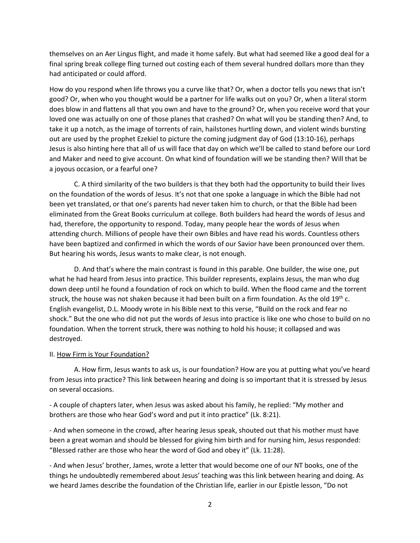themselves on an Aer Lingus flight, and made it home safely. But what had seemed like a good deal for a final spring break college fling turned out costing each of them several hundred dollars more than they had anticipated or could afford.

How do you respond when life throws you a curve like that? Or, when a doctor tells you news that isn't good? Or, when who you thought would be a partner for life walks out on you? Or, when a literal storm does blow in and flattens all that you own and have to the ground? Or, when you receive word that your loved one was actually on one of those planes that crashed? On what will you be standing then? And, to take it up a notch, as the image of torrents of rain, hailstones hurtling down, and violent winds bursting out are used by the prophet Ezekiel to picture the coming judgment day of God (13:10-16), perhaps Jesus is also hinting here that all of us will face that day on which we'll be called to stand before our Lord and Maker and need to give account. On what kind of foundation will we be standing then? Will that be a joyous occasion, or a fearful one?

C. A third similarity of the two builders is that they both had the opportunity to build their lives on the foundation of the words of Jesus. It's not that one spoke a language in which the Bible had not been yet translated, or that one's parents had never taken him to church, or that the Bible had been eliminated from the Great Books curriculum at college. Both builders had heard the words of Jesus and had, therefore, the opportunity to respond. Today, many people hear the words of Jesus when attending church. Millions of people have their own Bibles and have read his words. Countless others have been baptized and confirmed in which the words of our Savior have been pronounced over them. But hearing his words, Jesus wants to make clear, is not enough.

D. And that's where the main contrast is found in this parable. One builder, the wise one, put what he had heard from Jesus into practice. This builder represents, explains Jesus, the man who dug down deep until he found a foundation of rock on which to build. When the flood came and the torrent struck, the house was not shaken because it had been built on a firm foundation. As the old 19<sup>th</sup> c. English evangelist, D.L. Moody wrote in his Bible next to this verse, "Build on the rock and fear no shock." But the one who did not put the words of Jesus into practice is like one who chose to build on no foundation. When the torrent struck, there was nothing to hold his house; it collapsed and was destroyed.

## II. How Firm is Your Foundation?

A. How firm, Jesus wants to ask us, is our foundation? How are you at putting what you've heard from Jesus into practice? This link between hearing and doing is so important that it is stressed by Jesus on several occasions.

- A couple of chapters later, when Jesus was asked about his family, he replied: "My mother and brothers are those who hear God's word and put it into practice" (Lk. 8:21).

- And when someone in the crowd, after hearing Jesus speak, shouted out that his mother must have been a great woman and should be blessed for giving him birth and for nursing him, Jesus responded: "Blessed rather are those who hear the word of God and obey it" (Lk. 11:28).

- And when Jesus' brother, James, wrote a letter that would become one of our NT books, one of the things he undoubtedly remembered about Jesus' teaching was this link between hearing and doing. As we heard James describe the foundation of the Christian life, earlier in our Epistle lesson, "Do not